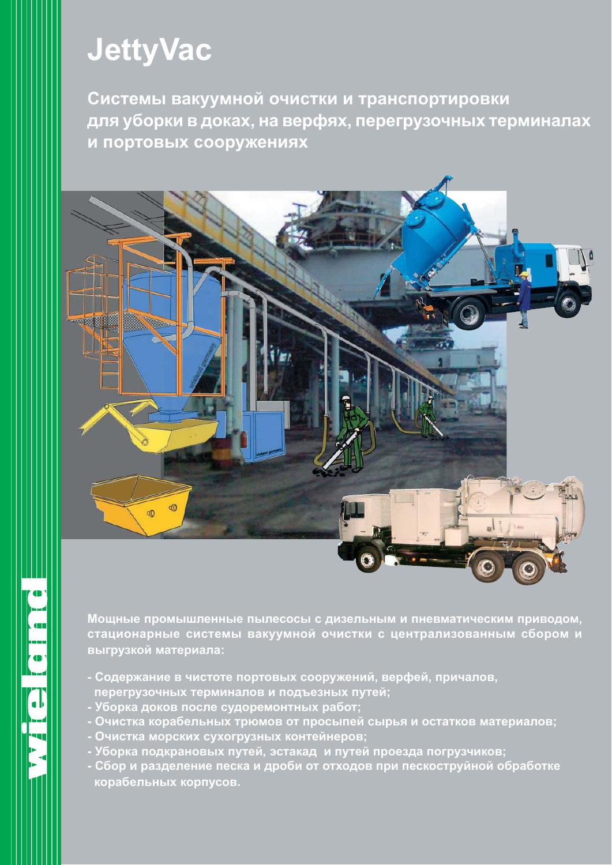# **JettyVac**

Системы вакуумной очистки и транспортировки для уборки в доках, на верфях, перегрузочных терминалах и портовых сооружениях



Мощные промышленные пылесосы с дизельным и пневматическим приводом, стационарные системы вакуумной очистки с централизованным сбором и выгрузкой материала:

- Содержание в чистоте портовых сооружений, верфей, причалов, перегрузочных терминалов и подъезных путей;
- Уборка доков после судоремонтных работ;
- Очистка корабельных трюмов от просыпей сырья и остатков материалов;
- Очистка морских сухогрузных контейнеров;
- Уборка подкрановых путей, эстакад и путей проезда погрузчиков;
- Сбор и разделение песка и дроби от отходов при пескоструйной обработке корабельных корпусов.